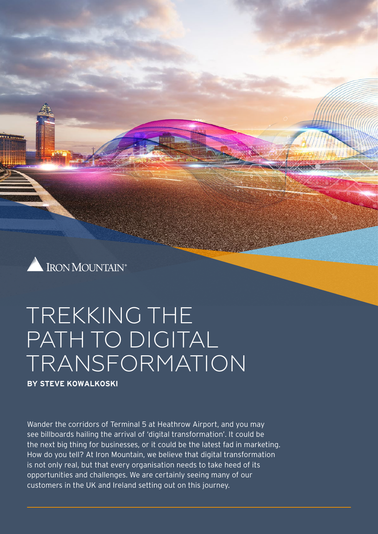

# TREKKING THE PATH TO DIGITAL TRANSFORMATION

**BY [STEVE KOWALKOSKI](https://www.linkedin.com/in/steve-kowalkoski-8112b0a/)**

Wander the corridors of Terminal 5 at Heathrow Airport, and you may see billboards hailing the arrival of 'digital transformation'. It could be the next big thing for businesses, or it could be the latest fad in marketing. How do you tell? At Iron Mountain, we believe that digital transformation is not only real, but that every organisation needs to take heed of its opportunities and challenges. We are certainly seeing many of our customers in the UK and Ireland setting out on this journey.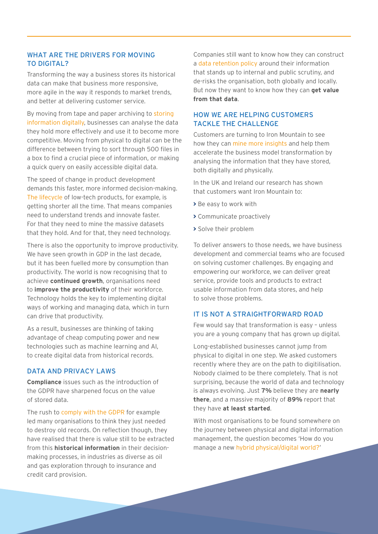### WHAT ARE THE DRIVERS FOR MOVING TO DIGITAL?

Transforming the way a business stores its historical data can make that business more responsive, more agile in the way it responds to market trends, and better at delivering customer service.

By moving from tape and paper archiving to storing [information digitally](https://www.ironmountain.co.uk/resources/general-articles/e/enable-digital-transformation-with-a-cloud-first-strategy), businesses can analyse the data they hold more effectively and use it to become more competitive. Moving from physical to digital can be the difference between trying to sort through 500 files in a box to find a crucial piece of information, or making a quick query on easily accessible digital data.

The speed of change in product development demands this faster, more informed decision-making. [The lifecycle](https://www.ironmountain.co.uk/resources/whitepapers/b/building-a-data-lifecycle-management-strategy-in-the-era-of-digital-transformation) of low-tech products, for example, is getting shorter all the time. That means companies need to understand trends and innovate faster. For that they need to mine the massive datasets that they hold. And for that, they need technology.

There is also the opportunity to improve productivity. We have seen growth in GDP in the last decade. but it has been fuelled more by consumption than productivity. The world is now recognising that to achieve **continued growth**, organisations need to **improve the productivity** of their workforce. Technology holds the key to implementing digital ways of working and managing data, which in turn can drive that productivity.

As a result, businesses are thinking of taking advantage of cheap computing power and new technologies such as machine learning and AI, to create digital data from historical records.

#### DATA AND PRIVACY LAWS

**Compliance** issues such as the introduction of the GDPR have sharpened focus on the value of stored data.

The rush to [comply with the GDPR](https://www.ironmountain.co.uk/resources/multimedia/p/Physical-Meets-Digital/week-4-mastering-data-privacy-and-information-governance-in-a-post-gdpr-world) for example led many organisations to think they just needed to destroy old records. On reflection though, they have realised that there is value still to be extracted from this **historical information** in their decisionmaking processes, in industries as diverse as oil and gas exploration through to insurance and credit card provision.

Companies still want to know how they can construct a [data retention policy](https://www.ironmountain.co.uk/resources/best-practice-guides/f/five-steps-to-implementing-a-records-retention-schedule) around their information that stands up to internal and public scrutiny, and de-risks the organisation, both globally and locally. But now they want to know how they can **get value from that data**.

#### HOW WE ARE HELPING CUSTOMERS TACKLE THE CHALLENGE

Customers are turning to Iron Mountain to see how they can [mine more insights](https://www.ironmountain.co.uk/resources/data-sheets-and-brochures/i/iron-mountain-insight-for-media-and-entertainment) and help them accelerate the business model transformation by analysing the information that they have stored, both digitally and physically.

In the UK and Ireland our research has shown that customers want Iron Mountain to:

- **>** Be easy to work with
- **>** Communicate proactively
- **>** Solve their problem

To deliver answers to those needs, we have business development and commercial teams who are focused on solving customer challenges. By engaging and empowering our workforce, we can deliver great service, provide tools and products to extract usable information from data stores, and help to solve those problems.

#### IT IS NOT A STRAIGHTFORWARD ROAD

Few would say that transformation is easy – unless you are a young company that has grown up digital.

Long-established businesses cannot jump from physical to digital in one step. We asked customers recently where they are on the [path to digitilisation.](https://www.ironmountain.co.uk/resources/general-articles/t/the-road-to-digital-transformation) Nobody claimed to be there completely. That is not surprising, because the world of data and technology is always evolving. Just **7%** believe they are **nearly there**, and a massive majority of **89%** report that they have **at least started**.

With most organisations to be found somewhere on the journey between physical and digital information management, the question becomes 'How do you manage a new [hybrid physical/digital world?](https://www.ironmountain.co.uk/resources/multimedia/p/physical-meets-digital/week-1-keynote)'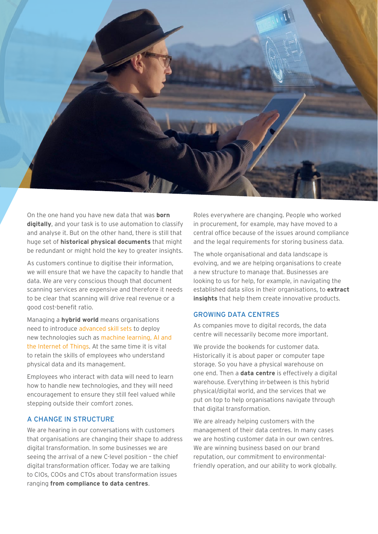

On the one hand you have new data that was **born digitally**, and your task is to use automation to classify and analyse it. But on the other hand, there is still that huge set of **historical physical documents** that might be redundant or might hold the key to greater insights.

As customers continue to digitise their information, we will ensure that we have the capacity to handle that data. We are very conscious though that document scanning services are expensive and therefore it needs to be clear that scanning will drive real revenue or a good cost-benefit ratio.

Managing a **hybrid world** means organisations need to introduce [advanced skill sets](https://www.ironmountain.co.uk/resources/general-articles/d/digital-transformation-training-identifying-the-skills-to-succeed) to deploy new technologies such as [machine learning, AI and](https://www.ironmountain.co.uk/resources/multimedia/p/physical-meets-digital/week-1-harnessing-data-insights-through-emerging-technologies)  [the Internet of Things.](https://www.ironmountain.co.uk/resources/multimedia/p/physical-meets-digital/week-1-harnessing-data-insights-through-emerging-technologies) At the same time it is vital to retain the skills of employees who understand physical data and its management.

Employees who interact with data will need to learn how to handle new technologies, and they will need encouragement to ensure they still feel valued while stepping outside their comfort zones.

#### A CHANGE IN STRUCTURE

We are hearing in our conversations with customers that organisations are changing their shape to address digital transformation. In some businesses we are seeing the arrival of a new C-level position – the chief digital transformation officer. Today we are talking to CIOs, COOs and CTOs about transformation issues ranging **from compliance to data centres**.

Roles everywhere are changing. People who worked in procurement, for example, may have moved to a central office because of the issues around compliance and the legal requirements for storing business data.

The whole organisational and data landscape is evolving, and we are helping organisations to create a new structure to manage that. Businesses are looking to us for help, for example, in navigating the established data silos in their organisations, to **extract insights** that help them create innovative products.

#### GROWING DATA CENTRES

As companies move to digital records, the data centre will necessarily become more important.

We provide the bookends for customer data. Historically it is about paper or computer tape storage. So you have a physical warehouse on one end. Then a **data centre** is effectively a digital warehouse. Everything in-between is this hybrid physical/digital world, and the services that we put on top to help organisations navigate through that digital transformation.

We are already helping customers with the management of their data centres. In many cases we are hosting customer data in our own centres. We are winning business based on our brand reputation, our commitment to environmentalfriendly operation, and our ability to work globally.